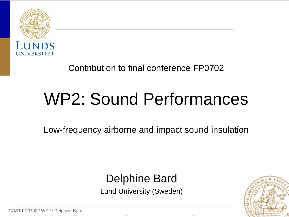

#### Contribution to final conference FP0702

# WP2: Sound Performances

Low-frequency airborne and impact sound insulation

#### Delphine Bard

Lund University (Sweden)

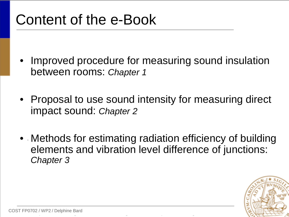### Content of the e-Book

- Improved procedure for measuring sound insulation between rooms: *Chapter 1*
- Proposal to use sound intensity for measuring direct impact sound: *Chapter 2*
- Methods for estimating radiation efficiency of building elements and vibration level difference of junctions: *Chapter 3*

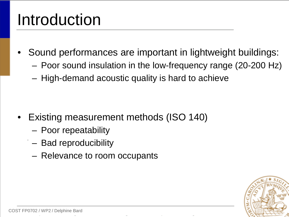## Introduction

- Sound performances are important in lightweight buildings:
	- Poor sound insulation in the low-frequency range (20-200 Hz)
	- High-demand acoustic quality is hard to achieve

- Existing measurement methods (ISO 140)
	- Poor repeatability
	- Bad reproducibility
	- Relevance to room occupants

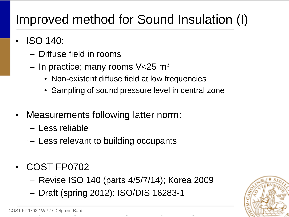#### Improved method for Sound Insulation (I)

- ISO 140:
	- Diffuse field in rooms
	- In practice; many rooms  $V<$ 25 m<sup>3</sup>
		- Non-existent diffuse field at low frequencies
		- Sampling of sound pressure level in central zone
- Measurements following latter norm:
	- Less reliable
	- Less relevant to building occupants
- COST FP0702
	- Revise ISO 140 (parts 4/5/7/14); Korea 2009
	- Draft (spring 2012): ISO/DIS 16283-1

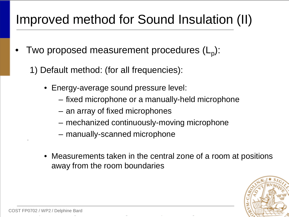### Improved method for Sound Insulation (II)

- Two proposed measurement procedures  $(L_{p})$ :
	- 1) Default method: (for all frequencies):
		- Energy-average sound pressure level:
			- fixed microphone or a manually-held microphone
			- an array of fixed microphones
			- mechanized continuously-moving microphone
			- manually-scanned microphone
		- Measurements taken in the central zone of a room at positions away from the room boundaries

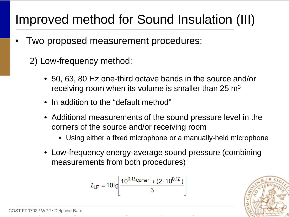#### Improved method for Sound Insulation (III)

- Two proposed measurement procedures:
	- 2) Low-frequency method:
		- 50, 63, 80 Hz one-third octave bands in the source and/or receiving room when its volume is smaller than  $25 \text{ m}^3$
		- In addition to the "default method"
		- Additional measurements of the sound pressure level in the corners of the source and/or receiving room
			- Using either a fixed microphone or a manually-held microphone
		- Low-frequency energy-average sound pressure (combining measurements from both procedures)

$$
L_{\text{LF}} = 101 \text{g} \left[ \frac{10^{0,1L} \text{Comer } + (2 \cdot 10^{0,1L})}{3} \right]
$$

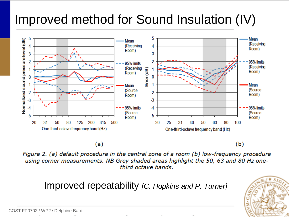### Improved method for Sound Insulation (IV)



 $(a)$ 

 $(b)$ 

Figure 2. (a) default procedure in the central zone of a room (b) low-frequency procedure using corner measurements. NB Grey shaded areas highlight the 50, 63 and 80 Hz onethird octave bands.

Improved repeatability *[C. Hopkins and P. Turner]*

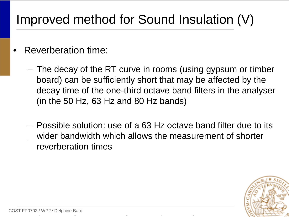### Improved method for Sound Insulation (V)

- Reverberation time:
	- The decay of the RT curve in rooms (using gypsum or timber board) can be sufficiently short that may be affected by the decay time of the one-third octave band filters in the analyser (in the 50 Hz, 63 Hz and 80 Hz bands)
	- Possible solution: use of a 63 Hz octave band filter due to its wider bandwidth which allows the measurement of shorter reverberation times

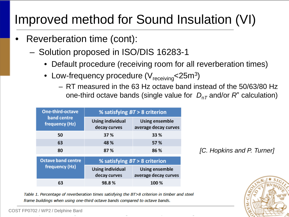### Improved method for Sound Insulation (VI)

- Reverberation time (cont):
	- Solution proposed in ISO/DIS 16283-1
		- Default procedure (receiving room for all reverberation times)
		- Low-frequency procedure  $(V_{receiving}$ <25m<sup>3</sup>)
			- RT measured in the 63 Hz octave band instead of the 50/63/80 Hz one-third octave bands (single value for  $D_{n\tau}$  and/or  $R^r$  calculation)

| One-third-octave<br>band centre<br>frequency (Hz) | % satisfying $BT > 8$ criterion  |                                               |
|---------------------------------------------------|----------------------------------|-----------------------------------------------|
|                                                   | Using individual<br>decay curves | Using ensemble<br>average decay curves        |
| 50                                                | 37%                              | 33 %                                          |
| 63                                                | 48 %                             | 57 %                                          |
| 80                                                | 87%                              | 86 %                                          |
| <b>Octave band centre</b><br>frequency (Hz)       | % satisfying $BT > 8$ criterion  |                                               |
|                                                   | Using individual<br>decay curves | <b>Using ensemble</b><br>average decay curves |
| 63                                                | 98.8%                            | 100%                                          |

*[C. Hopkins and P. Turner]*



Table 1. Percentage of reverberation times satisfying the BT>8 criterion in timber and steel frame buildings when using one-third octave bands compared to octave bands.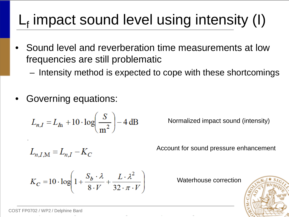## $L_f$  impact sound level using intensity (I)

- Sound level and reverberation time measurements at low frequencies are still problematic
	- Intensity method is expected to cope with these shortcomings
- Governing equations:

$$
L_{n,I} = L_{I\!n} + 10 \cdot \log \left( \frac{S}{m^2} \right) - 4 \, \text{dB}
$$

Normalized impact sound (intensity)

$$
L_{n,I,M} = L_{n,I} - K_C
$$

Account for sound pressure enhancement

$$
K_C = 10 \cdot \log \left( 1 + \frac{S_b \cdot \lambda}{8 \cdot V} + \frac{L \cdot \lambda^2}{32 \cdot \pi \cdot V} \right)
$$

Waterhouse correction

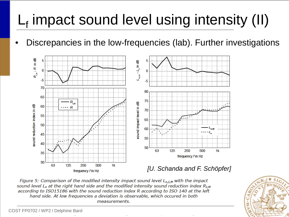## $L_f$  impact sound level using intensity (II)

• Discrepancies in the low-frequencies (lab). Further investigations



Figure 5: Comparison of the modified intensity impact sound level  $L_{n,I,M}$  with the impact sound level  $L_n$  at the right hand side and the modified intensity sound reduction index  $R_{LM}$ according to ISO15186 with the sound reduction index R according to ISO 140 at the left hand side. At low frequencies a deviation is observable, which occured in both measurements.

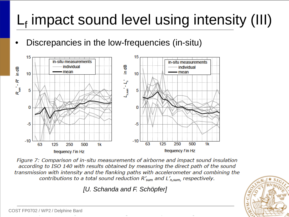## $L_f$  impact sound level using intensity (III)

• Discrepancies in the low-frequencies (in-situ)



Figure 7: Comparison of in-situ measurements of airborne and impact sound insulation according to ISO 140 with results obtained by measuring the direct path of the sound transmission with intensity and the flanking paths with accelerometer and combining the contributions to a total sound reduction  $R'_{sum}$  and  $L'_{n,sum}$ , respectively.

*[U. Schanda and F. Schöpfer]* 

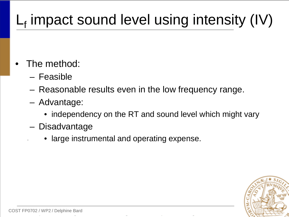## $L_f$  impact sound level using intensity (IV)

- The method:
	- Feasible
	- Reasonable results even in the low frequency range.
	- Advantage:
		- independency on the RT and sound level which might vary
	- Disadvantage
		- large instrumental and operating expense.

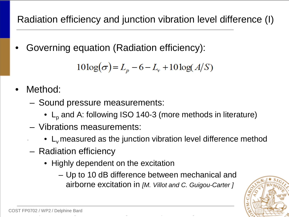Radiation efficiency and junction vibration level difference (I)

• Governing equation (Radiation efficiency):

$$
10\log(\sigma) = L_p - 6 - L_v + 10\log(A/S)
$$

- Method:
	- Sound pressure measurements:
		- $L_p$  and A: following ISO 140-3 (more methods in literature)
	- Vibrations measurements:
		- $\bullet$  L<sub>v</sub> measured as the junction vibration level difference method
	- Radiation efficiency
		- Highly dependent on the excitation
			- Up to 10 dB difference between mechanical and airborne excitation in *[M. Villot and C. Guigou-Carter ]*

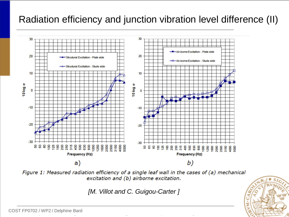#### Radiation efficiency and junction vibration level difference (II)



Figure 1: Measured radiation efficiency of a single leaf wall in the cases of (a) mechanical excitation and (b) airborne excitation.

*[M. Villot and C. Guigou-Carter ]*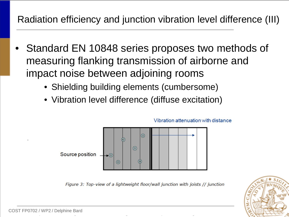#### Radiation efficiency and junction vibration level difference (III)

- Standard EN 10848 series proposes two methods of measuring flanking transmission of airborne and impact noise between adjoining rooms
	- Shielding building elements (cumbersome)
	- Vibration level difference (diffuse excitation)



Vibration attenuation with distance

Figure 3: Top-view of a lightweight floor/wall junction with joists // junction

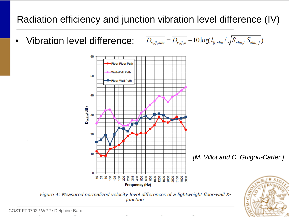#### Radiation efficiency and junction vibration level difference (IV)

 $\overline{D_{v,ij,situ}} = \overline{D_{v,ij,n}} - 10\log(l_{ij,situ}/\sqrt{S_{stitu,i}S_{stitu,j}})$ • Vibration level difference:





Figure 4: Measured normalized velocity level differences of a lightweight floor-wall Xjunction.